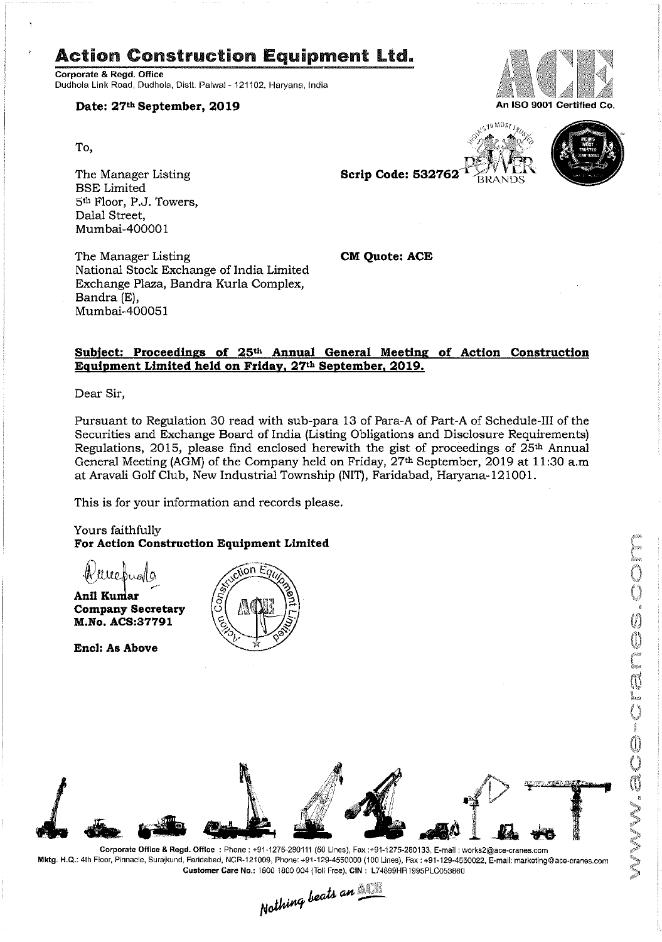# Action Construction Equipment Ltd.

Corporate & Regd. Office Dudhola Link Road, Dudhoia, Distt. Palwal - 121102, Haryana. India

Date: 27th September, 2019

To,

'

The Manager Listing Scrip Code: 532762<sup>T</sup> BSE Limited 5th Floor, P.J. Towers, Dalal Street, Mumbai—400001

The Manager Listing **CM Quote: ACE** National Stock Exchange of India Limited Exchange Plaza, Bandra Kurla Complex, Bandra (E), Mumbai—400051

## Subject: Proceedings of 25<sup>th</sup> Annual General Meeting of Action Construction Equipment Limited held on Friday, 27th September, 2019.

Dear Sir,

Pursuant to Regulation 30 read with sub—para <sup>13</sup> of Para—A of Part—A of Schedule-Ill of the Securities and Exchange Board of India (Listing Obligations and Disclosure Requirements) Regulations, 2015, please find enclosed herewith the gist of proceedings of  $25<sup>th</sup>$  Annual General Meeting (AGM) of the Company held on Friday, 27<sup>th</sup> September, 2019 at 11:30 a.m at Aravali Golf Club, New Industrial Township (NIT), Faridabad, Haryana—l21001.

This is for your information and records please.

Yours faithfully For Action Construction Equipment Limited

Webuala Anil Kumar Company Secretary

M.No. ACS:37791

Encl: As Above





Mktg. H.Q.: 4th Floor, Pinnacle, Surajkund, Faridabad, NCR-121009, Phone: +91-129-4550000 (100 Lines), Fax : +91-129-4550022, E-mail: marketing@ace-cranes.com





IS TO MOST TRUE



MISCO-CROSSICO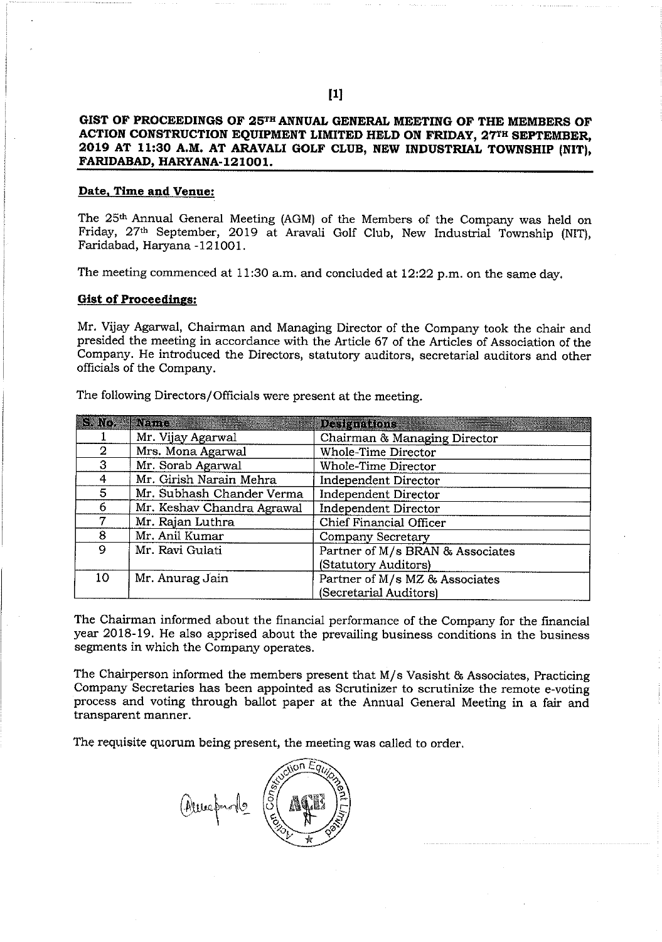## GIST OF PROCEEDINGS OF 25TH ANNUAL GENERAL MEETING OF THE MEMBERS OF ACTION CONSTRUCTION EQUIPMENT LIMITED HELD ON FRIDAY, 27<sup>TH</sup> SEPTEMBER, 2019 AT 11:30 AM. AT ARAVALI GOLF CLUB, NEW INDUSTRIAL TOWNSHIP (NIT), FARIDABAD, HARYANA-121001.

### Date, Time and Venue:

The 25<sup>th</sup> Annual General Meeting (AGM) of the Members of the Company was held on Friday, 27th September, 2019 at Aravali Golf Club, New Industrial Township (NIT), Faridabad, Haryana -121001.

The meeting commenced at 11:30 a.m. and concluded at 12:22 p.m. on the same day.

#### Gist of Proceedings:

Mr. Vijay Agarwal, Chairman and Managing Director of the Company took the chair and presided the meeting in accordance with the Article 67 of the Articles of Association of the Company. He introduced the Directors, statutory auditors, secretarial auditors and other officials of the Company.

| S. No. | Name :                     | <b>Designations</b>              |
|--------|----------------------------|----------------------------------|
|        | Mr. Vijay Agarwal          | Chairman & Managing Director     |
| 2      | Mrs. Mona Agarwal          | <b>Whole-Time Director</b>       |
| 3      | Mr. Sorab Agarwal          | Whole-Time Director              |
| 4      | Mr. Girish Narain Mehra    | Independent Director             |
| 5.     | Mr. Subhash Chander Verma  | Independent Director             |
| 6      | Mr. Keshav Chandra Agrawal | <b>Independent Director</b>      |
|        | Mr. Rajan Luthra           | Chief Financial Officer          |
| 8      | Mr. Anil Kumar             | Company Secretary                |
| 9      | Mr. Ravi Gulati            | Partner of M/s BRAN & Associates |
|        |                            | (Statutory Auditors)             |
| 10     | Mr. Anurag Jain            | Partner of M/s MZ & Associates   |
|        |                            | (Secretarial Auditors)           |

The following Directors/Officials were present at the meeting.

The Chairman informed about the financial performance of the Company for the financial year 2018-19. He also apprised about the prevailing business conditions in the business segments in which the Company operates.

The Chairperson informed the members present that  $M/s$  Vasisht  $\&$  Associates, Practicing Company Secretaries has been appointed as Scrutinizer to scrutinize the remote e-voting process and voting through ballot paper at the Annual General Meeting in a fair and transparent manner.

The requisite quorum being present, the meeting was called to order.

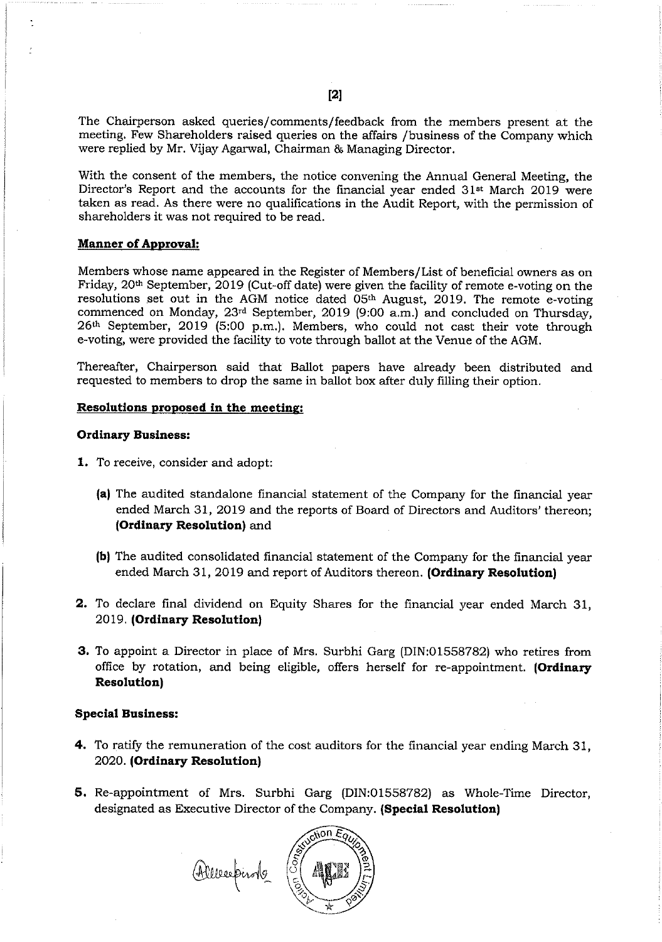The Chairperson asked queries/comments/feedback from the members present at the meeting. Few Shareholders raised queries on the affairs /business of the Company which were replied by Mr. Vijay Agarwal, Chairman & Managing Director.

With the consent of the members, the notice convening the Annual General Meeting, the Director's Report and the accounts for the financial year ended 31<sup>st</sup> March 2019 were taken as read. As there were no qualifications in the Audit Report, with the permission of shareholders it was not required to be read.

#### **Manner of Approval:**

Members whose name appeared in the Register of Members/ List of beneficial owners as on Friday, 20th September, 2019 (Cut-off date) were given the facility of remote e-voting on the resolutions set out in the AGM notice dated 05<sup>th</sup> August, 2019. The remote e-voting commenced on Monday, 23<sup>rd</sup> September, 2019 (9:00 a.m.) and concluded on Thursday, 26th September, 2019 (5:00 p.m.). Members, who could not cast their vote through e-voting, were provided the facility to vote through ballot at the Venue of the AGM.

Thereafter, Chairperson said that Ballot papers have already been distributed and requested to members to drop the same in ballot box after duly filling their option.

#### Resolutions proposed in the meeting;

#### Ordinary Business:

- 1. To receive, consider and adopt:
	- (a) The audited standalone financial statement of the Company for the financial year ended March 31, 2019 and the reports of Board of Directors and Auditors' thereon; (Ordinary Resolution) and
	- (b) The audited consolidated financial statement of the Company for the financial year ended March 31, 2019 and report of Auditors thereon. (Ordinary Resolution)
- 2. To declare final dividend on Equity Shares for the financial year ended March 31, 2019. (Ordinary Resolution)
- 3. To appoint a Director in place of Mrs. Surbhi Garg (DIN:01558782) who retires from office by rotation, and being eligible, offers herself for re-appointment. (Ordinary Resolution)

#### Special Business:

- 4. To ratify the remuneration of the cost auditors for the financial year ending March 31, 2020. (Ordinary Resolution)
- 5. Re-appointment of Mrs. Surbhi Garg (DIN:01558782) as Whole—Time Director, designated as Executive Director of the Company. (Special Resolution)

Allecepiste